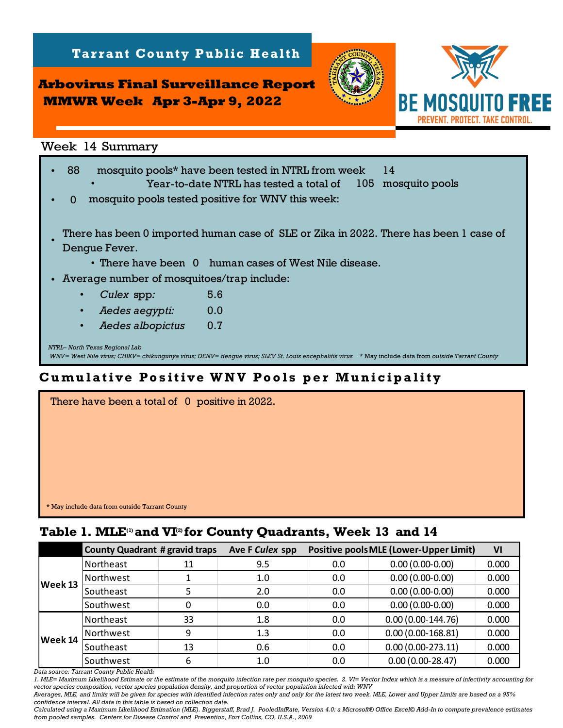**Arbovirus Final Surveillance Report MMWR Week Apr 3-Apr 9, 2022**

**Tarrant County Public Health** 



*NTRL– North Texas Regional Lab WNV= West Nile virus; CHIKV= chikungunya virus; DENV= dengue virus; SLEV St. Louis encephalitis virus* \* May include data from *outside Tarrant County* Week 14 Summary<br>• 88 mosquito pools\* have been tested in NTRL from week 14<br>• Year-to-date NTRL has tested a total of 105 mosquito pools Year-to-date NTRL has tested a total of  $\Omega$ • There have been 0 human cases of West Nile disease. • Average number of mosquitoes/trap include: • *Culex* spp*:* • • *Aedes albopictus:* 0.7  *Aedes aegypti:* 0.0 mosquito pools tested positive for WNV this week: 5.6 There has been 0 imported human case of SLE or Zika in 2022. There has been 1 case of Dengue Fever. • **Table 14 Surveillance Report**<br>
Week 14 Summary<br>
Week 14 Summary<br>  $\cdot$  88 mosquito pools\* have been tested in NIRL from week 14<br>  $\cdot$  Year-to-date NTRL has tested a total of 105 mosquito p<br>  $\cdot$  0 mosquito pools\* have been

## **Cumulative Positive WNV Pools per Municipality**

| There have been a total of 0 positive in 2022. |  |
|------------------------------------------------|--|
|                                                |  |
|                                                |  |
|                                                |  |
|                                                |  |
|                                                |  |
|                                                |  |
| * May include data from outside Tarrant County |  |

|         | <b>County Quadrant # gravid traps</b> |    | Ave F Culex spp |     | <b>Positive pools MLE (Lower-Upper Limit)</b> | VI    |
|---------|---------------------------------------|----|-----------------|-----|-----------------------------------------------|-------|
| Week 13 | Northeast                             | 11 | 9.5             | 0.0 | $0.00(0.00-0.00)$                             | 0.000 |
|         | Northwest                             |    | 1.0             | 0.0 | $0.00(0.00-0.00)$                             | 0.000 |
|         | Southeast                             |    | 2.0             | 0.0 | $0.00(0.00-0.00)$                             | 0.000 |
|         | Southwest                             |    | 0.0             | 0.0 | $0.00(0.00-0.00)$                             | 0.000 |
| Week 14 | Northeast                             | 33 | 1.8             | 0.0 | $0.00(0.00-144.76)$                           | 0.000 |
|         | Northwest                             | 9  | 1.3             | 0.0 | $0.00(0.00-168.81)$                           | 0.000 |
|         | Southeast                             | 13 | 0.6             | 0.0 | $0.00(0.00-273.11)$                           | 0.000 |
|         | Southwest                             | h  | 1.0             | 0.0 | $0.00(0.00-28.47)$                            | 0.000 |

*Data source: Tarrant County Public Health* 

*1. MLE= Maximum Likelihood Estimate or the estimate of the mosquito infection rate per mosquito species. 2. VI= Vector Index which is a measure of infectivity accounting for vector species composition, vector species population density, and proportion of vector population infected with WNV*

*Averages, MLE, and limits will be given for species with identified infection rates only and only for the latest two week. MLE, Lower and Upper Limits are based on a 95% confidence interval. All data in this table is based on collection date.*

*Calculated using a Maximum Likelihood Estimation (MLE). Biggerstaff, Brad J. PooledInfRate, Version 4.0: a Microsoft® Office Excel© Add-In to compute prevalence estimates from pooled samples. Centers for Disease Control and Prevention, Fort Collins, CO, U.S.A., 2009*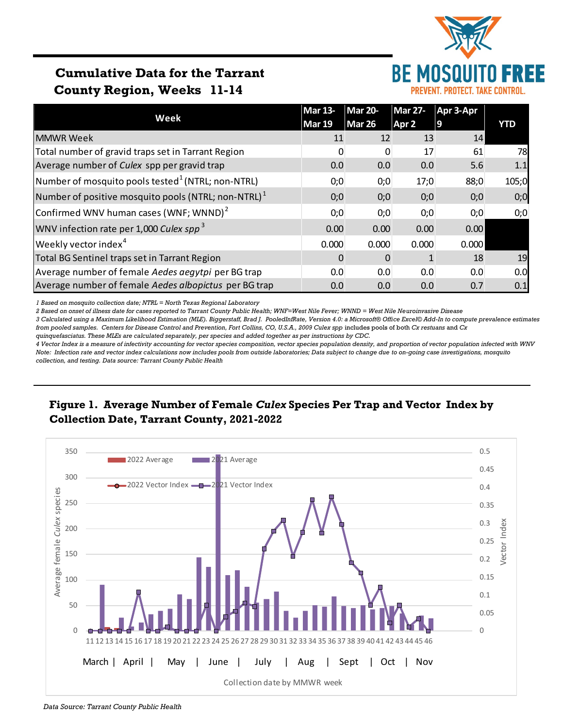

# **Cumulative Data for the Tarrant County Region, Weeks 11-14**

|                                                               | <b>Mar 13-</b> | <b>Mar 20-</b> | <b>Mar 27-</b>   | Apr 3-Apr |       |
|---------------------------------------------------------------|----------------|----------------|------------------|-----------|-------|
| Week                                                          | Mar 19         | <b>Mar 26</b>  | Apr <sub>2</sub> | 9         | YTD   |
| <b>MMWR Week</b>                                              | 11             | 12             | 13               | 14        |       |
| Total number of gravid traps set in Tarrant Region            | $\Omega$       | O              | 17               | 61        | 78    |
| Average number of Culex spp per gravid trap                   | 0.0            | 0.0            | 0.0              | 5.6       | 1.1   |
| Number of mosquito pools tested <sup>1</sup> (NTRL; non-NTRL) | 0;0            | 0;0            | 17;0             | 88;0      | 105;0 |
| Number of positive mosquito pools (NTRL; non-NTRL) $1$        | 0;0            | 0;0            | 0;0              | 0;0       | 0;0   |
| Confirmed WNV human cases (WNF; WNND) <sup>2</sup>            | 0;0            | 0;0            | 0;0              | 0;0       | 0;0   |
| WNV infection rate per 1,000 Culex spp <sup>3</sup>           | 0.00           | 0.00           | 0.00             | 0.00      |       |
| Weekly vector index <sup>4</sup>                              | 0.000          | 0.000          | 0.000            | 0.000     |       |
| Total BG Sentinel traps set in Tarrant Region                 | 0              |                |                  | 18        | 19    |
| Average number of female Aedes aegytpi per BG trap            | 0.0            | 0.0            | 0.0              | 0.0       | 0.0   |
| Average number of female Aedes albopictus per BG trap         | 0.0            | 0.0            | 0.0              | 0.7       | 0.1   |

*1 Based on mosquito collection date; NTRL = North Texas Regional Laboratory*

*2 Based on onset of illness date for cases reported to Tarrant County Public Health; WNF=West Nile Fever; WNND = West Nile Neuroinvasive Disease*

*3 Calculated using a Maximum Likelihood Estimation (MLE). Biggerstaff, Brad J. PooledInfRate, Version 4.0: a Microsoft® Office Excel© Add-In to compute prevalence estimates from pooled samples. Centers for Disease Control and Prevention, Fort Collins, CO, U.S.A., 2009 Culex spp* includes pools of both *Cx restuans* and *Cx* 

*quinquefasciatus. These MLEs are calculated separately, per species and added together as per instructions by CDC.*

*4 Vector Index is a measure of infectivity accounting for vector species composition, vector species population density, and proportion of vector population infected with WNV Note: Infection rate and vector index calculations now includes pools from outside laboratories; Data subject to change due to on-going case investigations, mosquito collection, and testing. Data source: Tarrant County Public Health*

### **Figure 1. Average Number of Female** *Culex* **Species Per Trap and Vector Index by Collection Date, Tarrant County, 2021-2022**



*Data Source: Tarrant County Public Health*